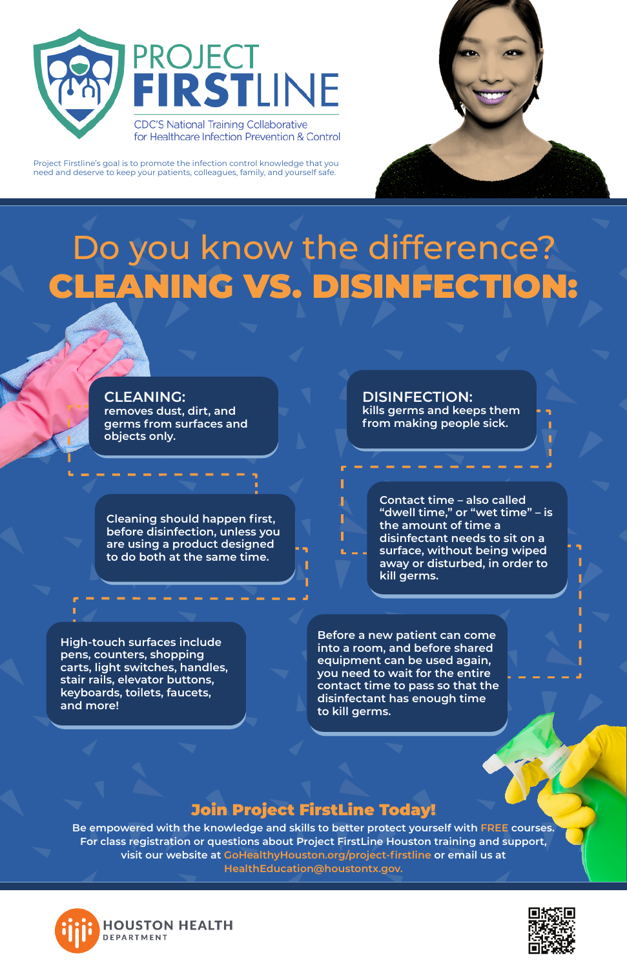



Project Firstline's goal is to promote the infection control knowledge that you need and deserve to keep your patients, colleagues, family, and yourself safe.

# Do you know the difference? CLEANING VS. DISINFECTION:

**Be empowered with the knowledge and skills to better protect yourself with FREE courses. For class registration or questions about Project FirstLine Houston training and support, visit our website at GoHealthyHouston.org/project-firstline or email us at HealthEducation@houstontx.gov.**





## Join Project FirstLine Today!

## **CLEANING:**

**removes dust, dirt, and germs from surfaces and objects only.** 

**Cleaning should happen first, before disinfection, unless you are using a product designed to do both at the same time.** 

**High-touch surfaces include pens, counters, shopping carts, light switches, handles, stair rails, elevator buttons, keyboards, toilets, faucets, and more!** 

**DISINFECTION:**

**kills germs and keeps them from making people sick.** 

**Contact time – also called "dwell time," or "wet time" – is the amount of time a disinfectant needs to sit on a surface, without being wiped away or disturbed, in order to kill germs.** 

**Before a new patient can come into a room, and before shared equipment can be used again, you need to wait for the entire contact time to pass so that the disinfectant has enough time to kill germs.**